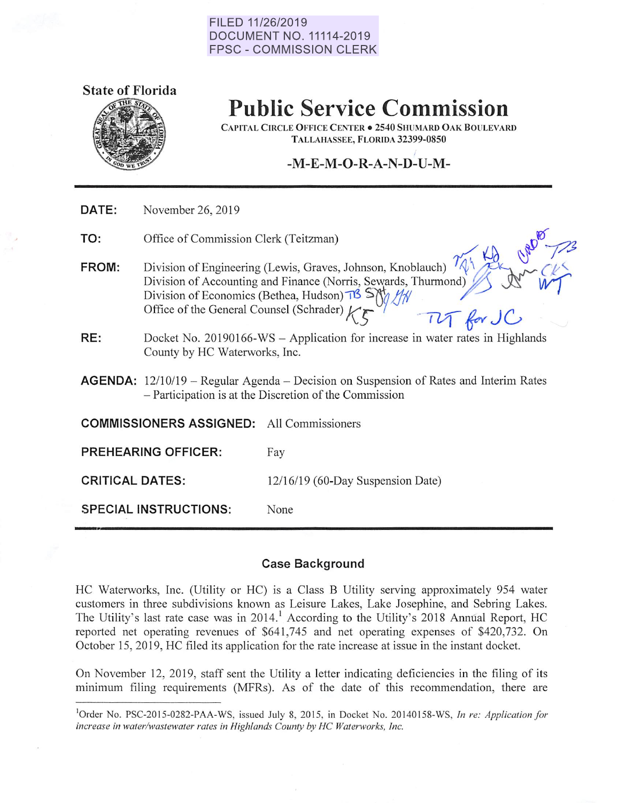#### **FILED 11/26/2019 DOCUMENT NO. 11114-2019 FPSC - COMMISSION CLERK**



## **Public Service Commission**

CAPITAL CIRCLE OFFICE CENTER . 2540 SHUMARD OAK BOULEVARD TALLAHASSEE, FLORIDA 32399-0850

#### I **-M-E-M-O-R-A-N-D-U-M-**

| DATE:                        | November 26, 2019                                                                                                                                                                                                                           |                                                                                                                                                          |  |  |  |  |
|------------------------------|---------------------------------------------------------------------------------------------------------------------------------------------------------------------------------------------------------------------------------------------|----------------------------------------------------------------------------------------------------------------------------------------------------------|--|--|--|--|
| TO:                          | Office of Commission Clerk (Teitzman)                                                                                                                                                                                                       |                                                                                                                                                          |  |  |  |  |
| FROM:                        | Division of Engineering (Lewis, Graves, Johnson, Knoblauch)<br>Division of Accounting and Finance (Norris, Sewards, Thurmond)<br>Division of Economics (Bethea, Hudson) $\frac{18}{15}$ SNA<br>Office of the General Counsel (Schrader) $k$ |                                                                                                                                                          |  |  |  |  |
| RE:                          | County by HC Waterworks, Inc.                                                                                                                                                                                                               | Docket No. 20190166-WS - Application for increase in water rates in Highlands                                                                            |  |  |  |  |
|                              |                                                                                                                                                                                                                                             | <b>AGENDA:</b> $12/10/19$ – Regular Agenda – Decision on Suspension of Rates and Interim Rates<br>- Participation is at the Discretion of the Commission |  |  |  |  |
|                              | <b>COMMISSIONERS ASSIGNED:</b> All Commissioners                                                                                                                                                                                            |                                                                                                                                                          |  |  |  |  |
|                              | <b>PREHEARING OFFICER:</b>                                                                                                                                                                                                                  | Fay                                                                                                                                                      |  |  |  |  |
| <b>CRITICAL DATES:</b>       |                                                                                                                                                                                                                                             | 12/16/19 (60-Day Suspension Date)                                                                                                                        |  |  |  |  |
| <b>SPECIAL INSTRUCTIONS:</b> |                                                                                                                                                                                                                                             | None                                                                                                                                                     |  |  |  |  |
|                              |                                                                                                                                                                                                                                             |                                                                                                                                                          |  |  |  |  |

#### **Case Background**

HC Waterworks, Inc. (Utility or HC) is a Class B Utility serving approximately 954 water customers in three subdivisions known as Leisure Lakes, Lake Josephine, and Sebring Lakes. The Utility's last rate case was in 2014.<sup>1</sup> According to the Utility's 2018 Annual Report, HC reported net operating revenues of \$641 ,745 and net operating expenses of \$420,732. On October 15, 2019, HC filed its application for the rate increase at issue in the instant docket.

On November 12, 2019, staff sent the Utility a letter indicating deficiencies in the filing of its minimum filing requirements (MFRs). As of the date of this recommendation, there are

<sup>&</sup>lt;sup>1</sup>Order No. PSC-2015-0282-PAA-WS, issued July 8, 2015, in Docket No. 20140158-WS, In re: Application for *increase in water/wastewater rates in Highlands County by HC Waterworks, Inc.*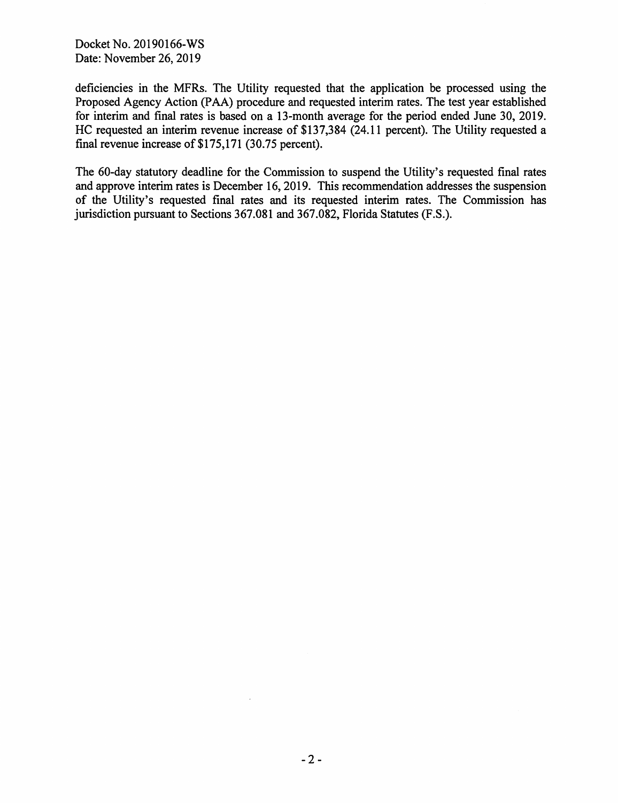Docket No. 20190166-WS Date: November 26, 2019

deficiencies in the MFRs. The Utility requested that the application be processed using the Proposed Agency Action (PAA) procedure and requested interim rates. The test year established for interim and final rates is based on a 13-month average for the period ended June 30, 2019. HC requested an interim revenue increase of \$137,384 (24.11 percent). The Utility requested a final revenue increase of \$175,171 (30.75 percent).

The 60-day statutory deadline for the Commission to suspend the Utility's requested final rates and approve interim rates is December 16, 2019. This recommendation addresses the suspension of the Utility's requested final rates and its requested interim rates. The Commission has jurisdiction pursuant to Sections 367.081 and 367.082, Florida Statutes (F.S.).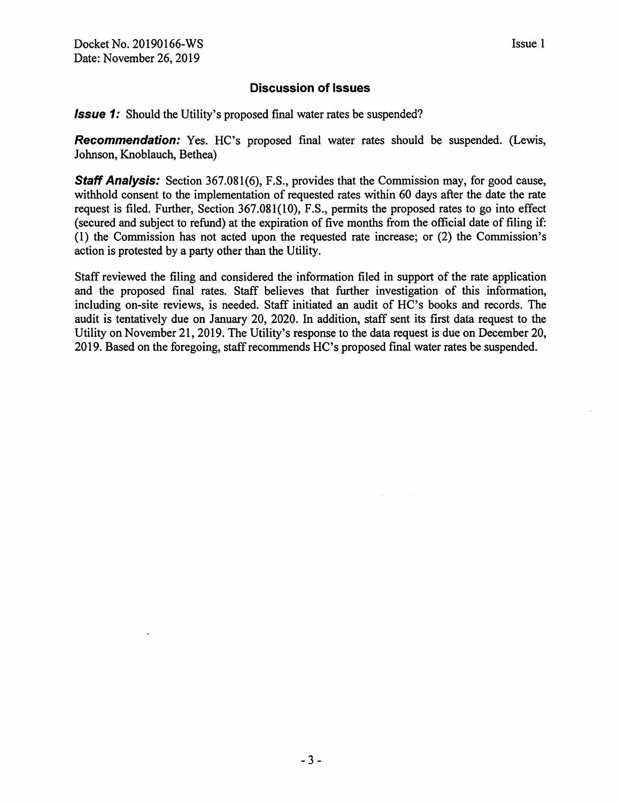### **Discussion of Issues**

**Issue 1:** Should the Utility's proposed final water rates be suspended?

**Recommendation:** Yes. HC's proposed final water rates should be suspended. (Lewis, Johnson, Knoblauch, Bethea)

**Staff Analysis:** Section 367.081(6), F.S., provides that the Commission may, for good cause, withhold consent to the implementation of requested rates within 60 days after the date the rate request is filed. Further, Section 367.081(10), F.S., permits the proposed rates to go into effect (secured and subject to refund) at the expiration of five months from the official date of filing if: (1) the Commission has not acted upon the requested rate increase; or (2) the Commission's action is protested by a party other than the Utility.

Staff reviewed the filing and considered the information filed in support of the rate application and the proposed final rates. Staff believes that further investigation of this information, including on-site reviews, is needed. Staff initiated an audit of HC's books and records. The audit is tentatively due on January 20, 2020. In addition, staff sent its first data request to the Utility on November 21, 2019. The Utility's response to the data request is due on December 20, 2019. Based on the foregoing, staff recommends HC's proposed final water rates be suspended.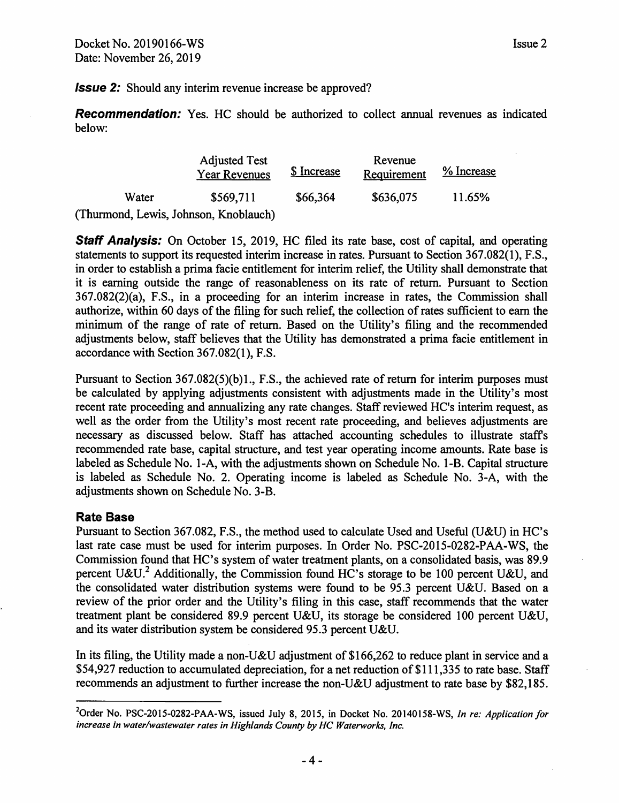**Issue 2:** Should any interim revenue increase be approved?

**Recommendation:** Yes. HC should be authorized to collect annual revenues as indicated below:

|                                       | <b>Adjusted Test</b><br><b>Year Revenues</b> | \$ Increase | Revenue<br>Requirement | % Increase |
|---------------------------------------|----------------------------------------------|-------------|------------------------|------------|
| Water                                 | \$569,711                                    | \$66,364    | \$636,075              | 11.65%     |
| (Thurmond, Lewis, Johnson, Knoblauch) |                                              |             |                        |            |

**Staff Analysis:** On October 15, 2019, HC filed its rate base, cost of capital, and operating statements to support its requested interim increase in rates. Pursuant to Section 367.082(1), F.S., in order to establish a prima facie entitlement for interim relief, the Utility shall demonstrate that it is earning outside the range of reasonableness on its rate of return. Pursuant to Section 367.082(2)(a), F.S., in a proceeding for an interim increase in rates, the Commission shall authorize, within 60 days of the filing for such relief, the collection of rates sufficient to earn the minimum of the range of rate of return. Based on the Utility's filing and the recommended adjustments below, staff believes that the Utility has demonstrated a prima facie entitlement in accordance with Section 367.082(1), F.S.

Pursuant to Section 367.082(5)(b)1., F.S., the achieved rate of return for interim purposes must be calculated by applying adjustments consistent with adjustments made in the Utility's most recent rate proceeding and annualizing any rate changes. Staff reviewed HC's interim request, as well as the order from the Utility's most recent rate proceeding, and believes adjustments are necessary as discussed below. Staff has attached accounting schedules to illustrate staffs recommended rate base, capital structure, and test year operating income amounts. Rate base is labeled as Schedule No. 1-A, with the adjustments shown on Schedule No. 1-B. Capital structure is labeled as Schedule No. 2. Operating income is labeled as Schedule No. 3-A, with the adjustments shown on Schedule No. 3-B.

#### **Rate Base**

Pursuant to Section 367.082, F.S., the method used to calculate Used and Useful (U&U) in HC's last rate case must be used for interim purposes. In Order No. PSC-2015-0282-PAA-WS, the Commission found that HC's system of water treatment plants, on a consolidated basis, was 89.9 percent U&U.<sup>2</sup> Additionally, the Commission found HC's storage to be 100 percent U&U, and the consolidated water distribution systems were found to be 95.3 percent U&U. Based on a review of the prior order and the Utility's filing in this case, staff recommends that the water treatment plant be considered 89.9 percent U&U, its storage be considered 100 percent U&U, and its water distribution system be considered 95.3 percent U&U.

In its filing, the Utility made a non-U&U adjustment of \$166,262 to reduce plant in service and a \$54,927 reduction to accumulated depreciation, for a net reduction of \$111,335 to rate base. Staff recommends an adjustment to further increase the non-U&U adjustment to rate base by \$82,185.

<sup>2</sup> Order No. PSC-2015-0282-PAA-WS, issued July 8, 2015, in Docket No. 20140158-WS, *In re: Application for increase in water/wastewater rates in Highlands County by HC Waterworks, Inc.*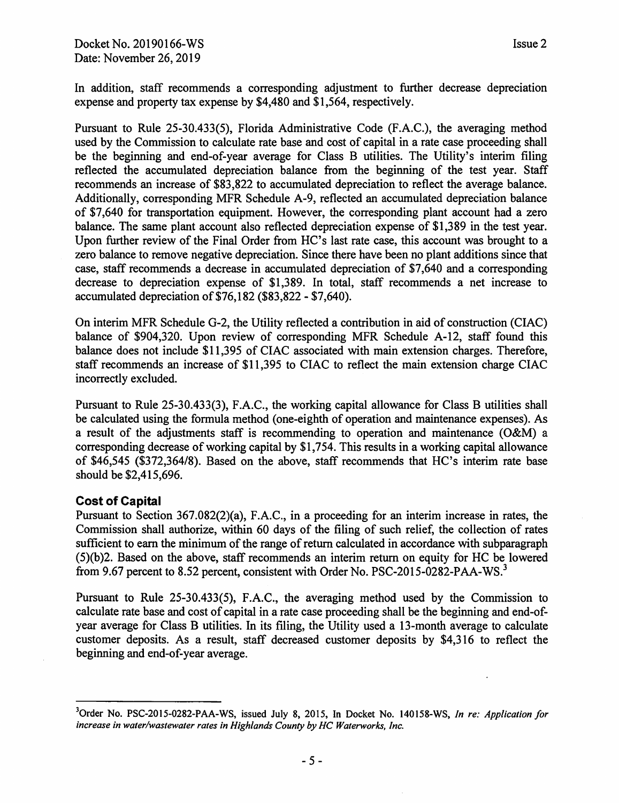In addition, staff recommends a corresponding adjustment to further decrease depreciation expense and property tax expense by \$4,480 and \$1,564, respectively.

Pursuant to Rule 25-30.433(5), Florida Administrative Code (F.A.C.), the averaging method used by the Commission to calculate rate base and cost of capital in a rate case proceeding shall be the beginning and end-of-year average for Class B utilities. The Utility's interim filing reflected the accumulated depreciation balance from the beginning of the test year. Staff recommends an increase of \$83,822 to accumulated depreciation to reflect the average balance. Additionally, corresponding MFR Schedule A-9, reflected an accumulated depreciation balance of \$7,640 for transportation equipment. However, the corresponding plant account had a zero balance. The same plant account also reflected depreciation expense of \$1,389 in the test year. Upon further review of the Final Order from HC's last rate case, this account was brought to a zero balance to remove negative depreciation. Since there have been no plant additions since that case, staff recommends a decrease in accumulated depreciation of \$7,640 and a corresponding decrease to depreciation expense of \$1,389. In total, staff recommends a net increase to accumulated depreciation of \$76,182 (\$83,822 - \$7,640).

On interim MFR Schedule G-2, the Utility reflected a contribution in aid of construction (CIAC) balance of \$904,320. Upon review of corresponding MFR Schedule A-12, staff found this balance does not include \$11,395 of CIAC associated with main extension charges. Therefore, staff recommends an increase of \$11,395 to CIAC to reflect the main extension charge CIAC incorrectly excluded.

Pursuant to Rule 25-30.433(3), F.A.C., the working capital allowance for Class B utilities shall be calculated using the formula method (one-eighth of operation and maintenance expenses). As a result of the adjustments staff is recommending to operation and maintenance (O&M) a corresponding decrease of working capital by \$1,754. This results in a working capital allowance of \$46,545 (\$372,364/8). Based on the above, staff recommends that HC's interim rate base should be \$2,415,696.

#### **Cost of Capital**

Pursuant to Section 367.082(2)(a), F.A.C., in a proceeding for an interim increase in rates, the Commission shall authorize, within 60 days of the filing of such relief, the collection of rates sufficient to earn the minimum of the range of return calculated in accordance with subparagraph (5)(b)2. Based on the above, staff recommends an interim return on equity for HC be lowered from 9.67 percent to 8.52 percent, consistent with Order No. PSC-2015-0282-PAA-WS.<sup>3</sup>

Pursuant to Rule 25-30.433(5), F.A.C., the averaging method used by the Commission to calculate rate base and cost of capital in a rate case proceeding shall be the beginning and end-ofyear average for Class B utilities. In its filing, the Utility used a 13-month average to calculate customer deposits. As a result, staff decreased customer deposits by \$4,316 to reflect the beginning and end-of-year average.

<sup>3</sup> Order No. PSC-2015-0282-PAA-WS, issued July 8, 2015, In Docket No. 140158-WS, *In re: Application for increase in water/wastewater rates in Highlands County by HC Waterworks, Inc.*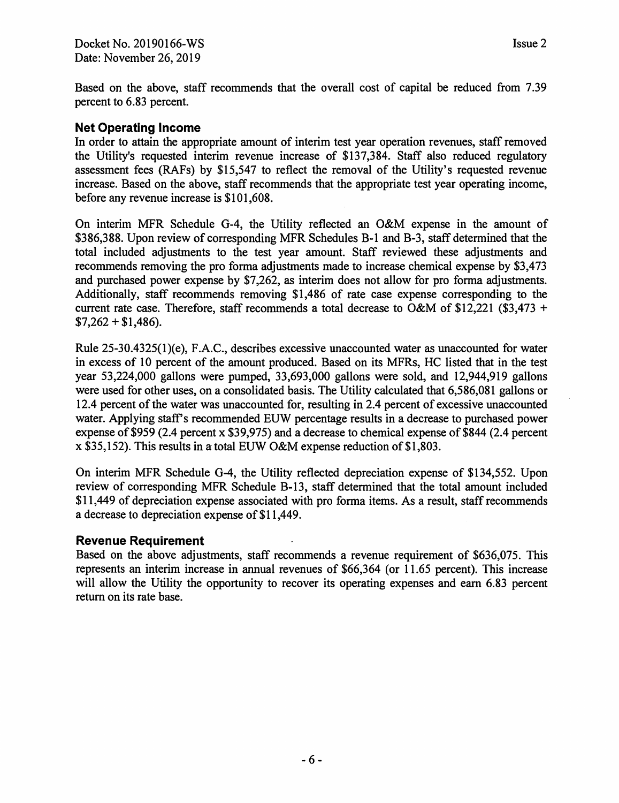Based on the above, staff recommends that the overall cost of capital be reduced from 7.39 percent to 6.83 percent.

#### **Net Operating Income**

In order to attain the appropriate amount of interim test year operation revenues, staff removed the Utility's requested interim revenue increase of \$137,384. Staff also reduced regulatory assessment fees (RAFs) by \$15,547 to reflect the removal of the Utility's requested revenue increase. Based on the above, staff recommends that the appropriate test year operating income, before any revenue increase is \$101,608.

On interim MFR Schedule G-4, the Utility reflected an O&M expense in the amount of \$386,388. Upon review of corresponding MFR Schedules B-1 and B-3, staff determined that the total included adjustments to the test year amount. Staff reviewed these adjustments and recommends removing the proforma adjustments made to increase chemical expense by \$3,473 and purchased power expense by \$7,262, as interim does not allow for pro forma adjustments. Additionally, staff recommends removing \$1,486 of rate case expense corresponding to the current rate case. Therefore, staff recommends a total decrease to O&M of \$12,221 (\$3,473 +  $$7,262 + $1,486$ ).

Rule 25-30.4325(l)(e), F.A.C., describes excessive unaccounted water as unaccounted for water in excess of 10 percent of the amount produced. Based on its MFRs, HC listed that in the test year 53,224,000 gallons were pumped, 33,693,000 gallons were sold, and 12,944,919 gallons were used for other uses, on a consolidated basis. The Utility calculated that 6,586,081 gallons or 12.4 percent of the water was unaccounted for, resulting in 2.4 percent of excessive unaccounted water. Applying staff's recommended EUW percentage results in a decrease to purchased power expense of \$959 (2.4 percent x \$39,975) and a decrease to chemical expense of \$844 (2.4 percent x \$35,152). This results in a total EUW O&M expense reduction of \$1,803.

On interim MFR Schedule G-4, the Utility reflected depreciation expense of \$134,552. Upon review of corresponding MFR Schedule B-13, staff determined that the total amount included \$11,449 of depreciation expense associated with pro forma items. As a result, staff recommends a decrease to depreciation expense of \$11,449.

#### **Revenue Requirement**

Based on the above adjustments, staff recommends a revenue requirement of \$636,075. This represents an interim increase in annual revenues of \$66,364 (or 11.65 percent). This increase will allow the Utility the opportunity to recover its operating expenses and earn 6.83 percent return on its rate base.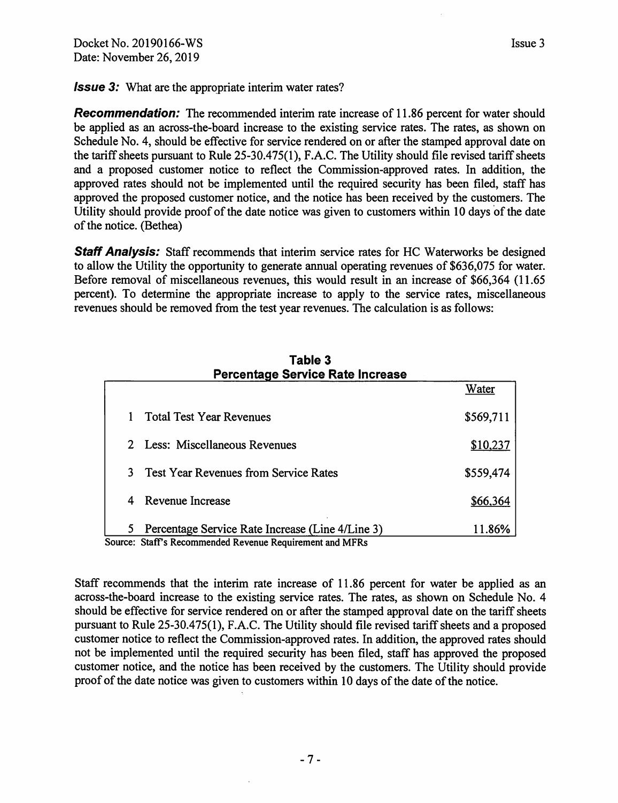**Issue 3:** What are the appropriate interim water rates?

**Recommendation:** The recommended interim rate increase of 11.86 percent for water should be applied as an across-the-board increase to the existing service rates. The rates, as shown on Schedule No. 4, should be effective for service rendered on or after the stamped approval date on the tariff sheets pursuant to Rule 25-30.475(1 ), F.A.C. The Utility should file revised tariff sheets and a proposed customer notice to reflect the Commission-approved rates. In addition, the approved rates should not be implemented until the required security has been filed, staff has approved the proposed customer notice, and the notice has been received by the customers. The Utility should provide proof of the date notice was given to customers within 10 days of the date of the notice. (Bethea)

**Staff Analysis:** Staff recommends that interim service rates for HC Waterworks be designed to allow the Utility the opportunity to generate annual operating revenues of \$636,075 for water. Before removal of miscellaneous revenues, this would result in an increase of \$66,364 (11.65 percent). To determine the appropriate increase to apply to the service rates, miscellaneous revenues should be removed from the test year revenues. The calculation is as follows:

|    | Percentage Service Rate Increase                         |           |
|----|----------------------------------------------------------|-----------|
|    |                                                          | Water     |
|    | <b>Total Test Year Revenues</b>                          | \$569,711 |
|    | 2 Less: Miscellaneous Revenues                           | \$10,237  |
| 3. | <b>Test Year Revenues from Service Rates</b>             | \$559,474 |
|    | 4 Revenue Increase                                       | \$66,364  |
| 5. | Percentage Service Rate Increase (Line 4/Line 3)         | 11.86%    |
|    | Source: Staff's Recommended Revenue Requirement and MFRs |           |

# **Table 3**

Staff recommends that the interim rate increase of 11.86 percent for water be applied as an across-the-board increase to the existing service rates. The rates, as shown on Schedule No. 4 should be effective for service rendered on or after the stamped approval date on the tariff sheets pursuant to Rule 25-30.475(1), F.A.C. The Utility should file revised tariff sheets and a proposed customer notice to reflect the Commission-approved rates. In addition, the approved rates should not be implemented until the required security has been filed, staff has approved the proposed customer notice, and the notice has been received by the customers. The Utility should provide proof of the date notice was given to customers within 10 days of the date of the notice.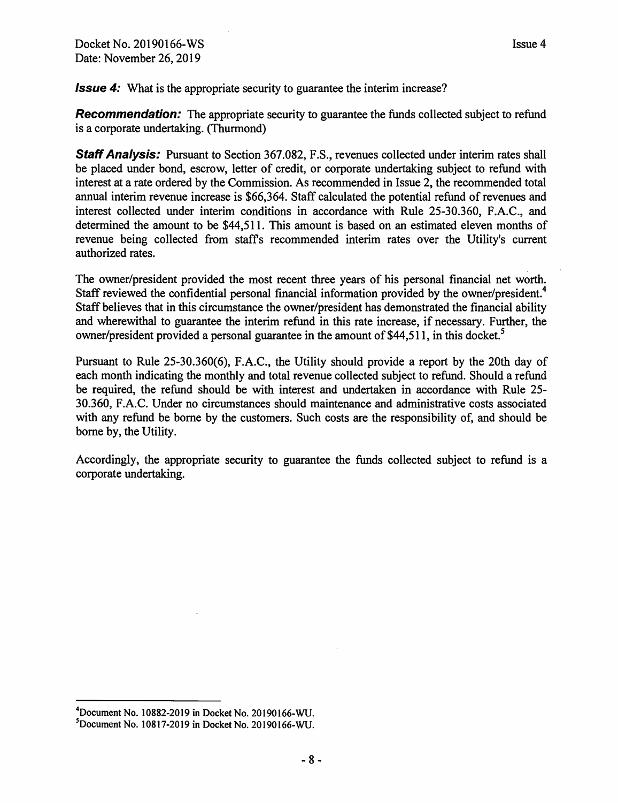**Issue 4:** What is the appropriate security to guarantee the interim increase?

**Recommendation:** The appropriate security to guarantee the funds collected subject to refund is a corporate undertaking. (Thurmond)

**Staff Analysis:** Pursuant to Section 367.082, F.S., revenues collected under interim rates shall be placed under bond, escrow, letter of credit, or corporate undertaking subject to refund with interest at a rate ordered by the Commission. As recommended in Issue 2, the recommended total annual interim revenue increase is \$66,364. Staff calculated the potential refund of revenues and interest collected under interim conditions in accordance with Rule 25-30.360, F.A.C., and determined the amount to be \$44,511. This amount is based on an estimated eleven months of revenue being collected from staffs recommended interim rates over the Utility's current authorized rates.

The owner/president provided the most recent three years of his personal financial net worth. Staff reviewed the confidential personal financial information provided by the owner/president.<sup>4</sup> Staff believes that in this circumstance the owner/president has demonstrated the financial ability and wherewithal to guarantee the interim refund in this rate increase, if necessary. Further, the owner/president provided a personal guarantee in the amount of \$44,511, in this docket. *<sup>5</sup>*

Pursuant to Rule 25-30.360(6), F.A.C., the Utility should provide a report by the 20th day of each month indicating the monthly and total revenue collected subject to refund. Should a refund be required, the refund should be with interest and undertaken in accordance with Rule 25- 30.360, F.A.C. Under no circumstances should maintenance and administrative costs associated with any refund be borne by the customers. Such costs are the responsibility of, and should be borne by, the Utility.

Accordingly, the appropriate security to guarantee the funds collected subject to refund is a corporate undertaking.

 $^{4}$ Document No. 10882-2019 in Docket No. 20190166-WU.<br><sup>5</sup>Document No. 10817-2010 in Docket No. 20100166 WU.

 $3$ Document No. 10817-2019 in Docket No. 20190166-WU.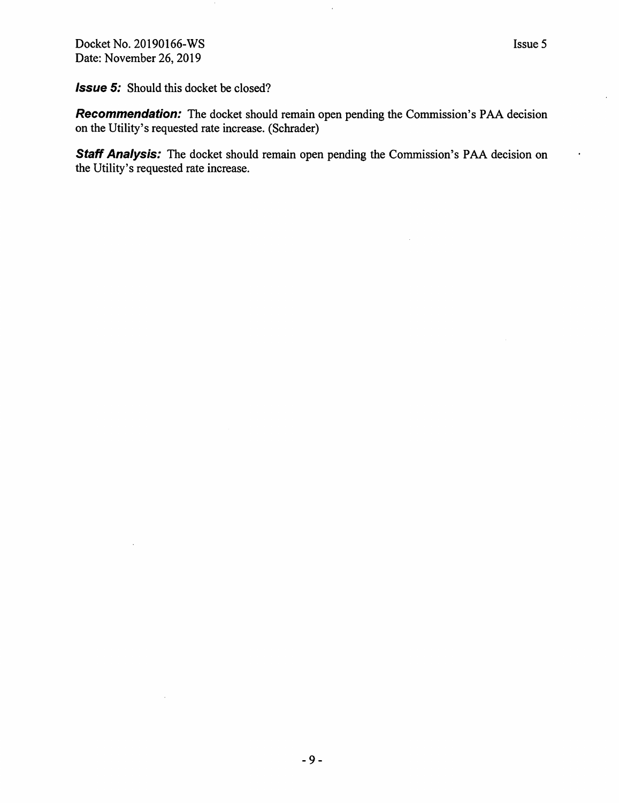Docket No. 20190166-WS Date: November 26, 2019

**Issue 5:** Should this docket be closed?

**Recommendation:** The docket should remain open pending the Commission's PAA decision on the Utility's requested rate increase. (Schrader)

**Staff Analysis:** The docket should remain open pending the Commission's PAA decision on the Utility's requested rate increase.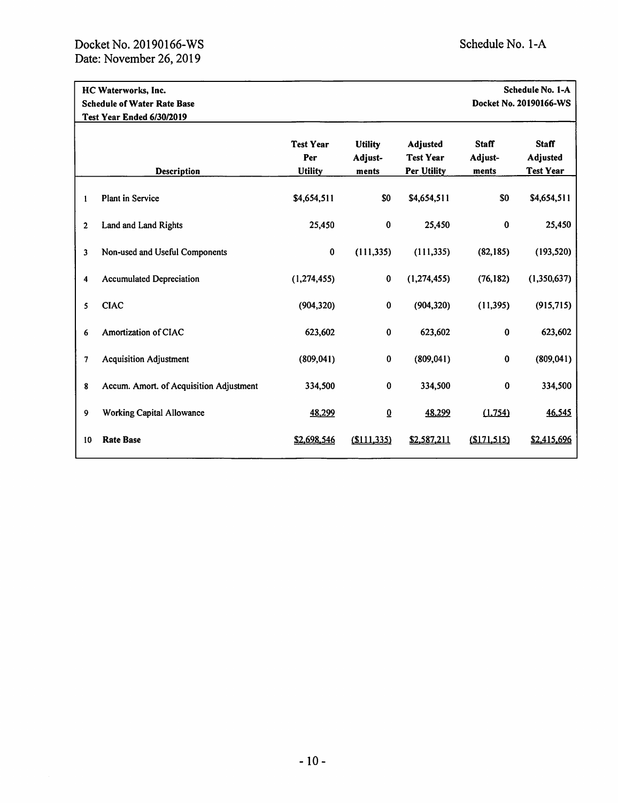|                         | HC Waterworks, Inc.<br><b>Schedule of Water Rate Base</b><br>Test Year Ended 6/30/2019 |                                           |                                    |                                                    |                                  | Schedule No. 1-A<br>Docket No. 20190166-WS   |
|-------------------------|----------------------------------------------------------------------------------------|-------------------------------------------|------------------------------------|----------------------------------------------------|----------------------------------|----------------------------------------------|
|                         | Description                                                                            | <b>Test Year</b><br>Per<br><b>Utility</b> | <b>Utility</b><br>Adjust-<br>ments | Adjusted<br><b>Test Year</b><br><b>Per Utility</b> | <b>Staff</b><br>Adjust-<br>ments | <b>Staff</b><br>Adjusted<br><b>Test Year</b> |
| 1                       | <b>Plant in Service</b>                                                                | \$4,654,511                               | \$0                                | \$4,654,511                                        | \$0                              | \$4,654,511                                  |
| $\overline{2}$          | Land and Land Rights                                                                   | 25,450                                    | $\bf{0}$                           | 25,450                                             | 0                                | 25,450                                       |
| $\overline{\mathbf{3}}$ | Non-used and Useful Components                                                         | $\pmb{0}$                                 | (111, 335)                         | (111, 335)                                         | (82, 185)                        | (193, 520)                                   |
| 4                       | <b>Accumulated Depreciation</b>                                                        | (1, 274, 455)                             | $\bf{0}$                           | (1, 274, 455)                                      | (76, 182)                        | (1,350,637)                                  |
| 5                       | <b>CIAC</b>                                                                            | (904, 320)                                | 0                                  | (904, 320)                                         | (11, 395)                        | (915, 715)                                   |
| 6                       | Amortization of CIAC                                                                   | 623,602                                   | 0                                  | 623,602                                            | $\pmb{0}$                        | 623,602                                      |
| 7                       | <b>Acquisition Adjustment</b>                                                          | (809, 041)                                | $\bf{0}$                           | (809, 041)                                         | $\bf{0}$                         | (809, 041)                                   |
| 8                       | Accum. Amort. of Acquisition Adjustment                                                | 334,500                                   | $\bf{0}$                           | 334,500                                            | 0                                | 334,500                                      |
| 9                       | <b>Working Capital Allowance</b>                                                       | 48,299                                    | $\overline{0}$                     | 48,299                                             | (1,754)                          | 46,545                                       |
| 10                      | <b>Rate Base</b>                                                                       | \$2,698,546                               | (S111, 335)                        | \$2,587,211                                        | (S171, 515)                      | \$2,415,696                                  |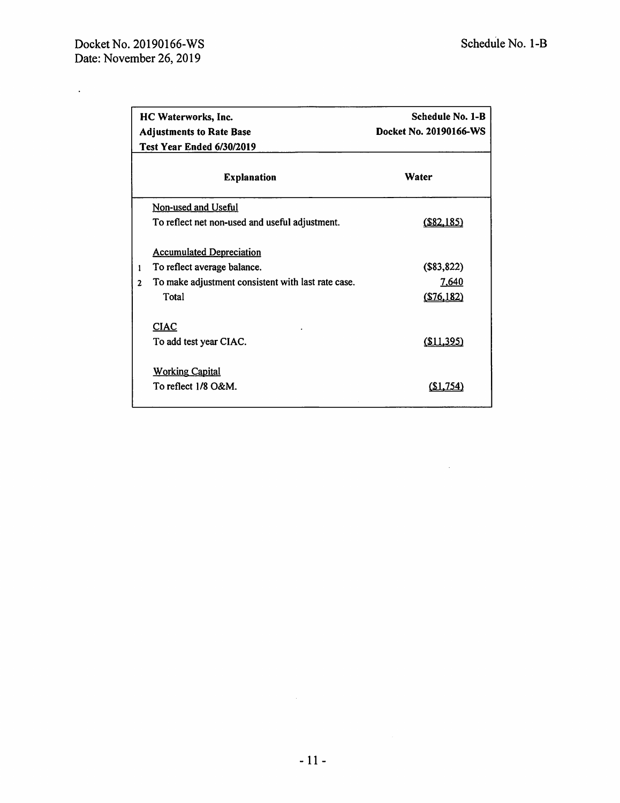$\mathcal{L}^{(1)}$  .

 $\sim 10^7$ 

|              | HC Waterworks, Inc.<br><b>Adjustments to Rate Base</b><br>Test Year Ended 6/30/2019 | <b>Schedule No. 1-B</b><br>Docket No. 20190166-WS |  |  |
|--------------|-------------------------------------------------------------------------------------|---------------------------------------------------|--|--|
|              | <b>Explanation</b>                                                                  | Water                                             |  |  |
|              | Non-used and Useful                                                                 |                                                   |  |  |
|              | To reflect net non-used and useful adjustment.                                      | (S82, 185)                                        |  |  |
|              | <b>Accumulated Depreciation</b>                                                     |                                                   |  |  |
| $\mathbf{1}$ | To reflect average balance.                                                         | (\$83,822)                                        |  |  |
| $\mathbf{2}$ | To make adjustment consistent with last rate case.                                  | 7,640                                             |  |  |
|              | Total                                                                               | (S76, 182)                                        |  |  |
|              | <b>CIAC</b>                                                                         |                                                   |  |  |
|              | To add test year CIAC.                                                              | <u>(\$11,395)</u>                                 |  |  |
|              | <b>Working Capital</b>                                                              |                                                   |  |  |
|              | To reflect 1/8 O&M.                                                                 |                                                   |  |  |
|              |                                                                                     |                                                   |  |  |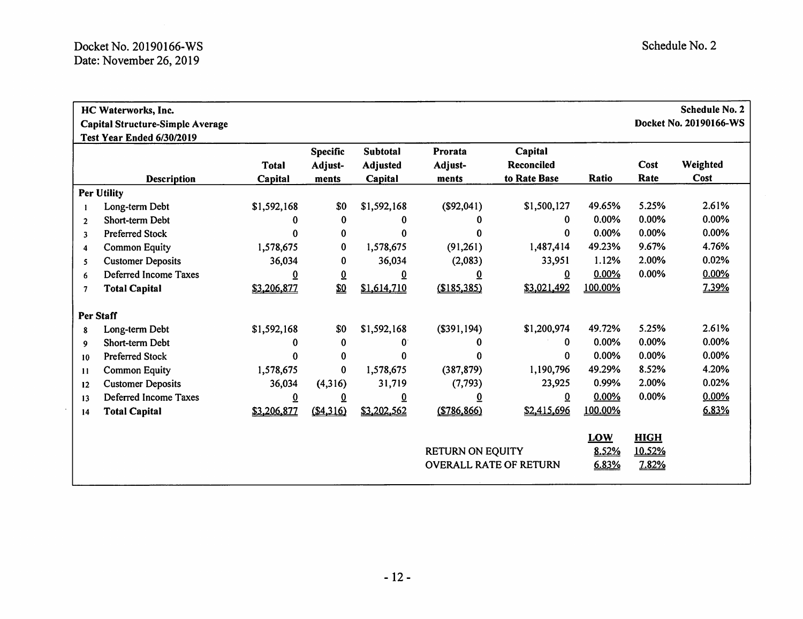|                | HC Waterworks, Inc.<br><b>Capital Structure-Simple Average</b><br>Test Year Ended 6/30/2019 |                         |                                     |                                 |                             |                                              |                              |                                | <b>Schedule No. 2</b><br>Docket No. 20190166-WS |
|----------------|---------------------------------------------------------------------------------------------|-------------------------|-------------------------------------|---------------------------------|-----------------------------|----------------------------------------------|------------------------------|--------------------------------|-------------------------------------------------|
|                | <b>Description</b>                                                                          | <b>Total</b><br>Capital | <b>Specific</b><br>Adjust-<br>ments | Subtotal<br>Adjusted<br>Capital | Prorata<br>Adjust-<br>ments | Capital<br><b>Reconciled</b><br>to Rate Base | Ratio                        | Cost<br>Rate                   | Weighted<br>Cost                                |
|                | <b>Per Utility</b>                                                                          |                         |                                     |                                 |                             |                                              |                              |                                |                                                 |
|                | Long-term Debt                                                                              | \$1,592,168             | \$0                                 | \$1,592,168                     | (\$92,041)                  | \$1,500,127                                  | 49.65%                       | 5.25%                          | 2.61%                                           |
| $\overline{2}$ | Short-term Debt                                                                             | 0                       | $\bf{0}$                            | 0                               | 0                           | 0                                            | 0.00%                        | 0.00%                          | 0.00%                                           |
| 3              | <b>Preferred Stock</b>                                                                      | 0                       | 0                                   | 0                               | 0                           | 0                                            | 0.00%                        | 0.00%                          | 0.00%                                           |
| 4              | <b>Common Equity</b>                                                                        | 1,578,675               | $\bf{0}$                            | 1,578,675                       | (91,261)                    | 1,487,414                                    | 49.23%                       | 9.67%                          | 4.76%                                           |
| 5              | <b>Customer Deposits</b>                                                                    | 36,034                  | 0                                   | 36,034                          | (2,083)                     | 33,951                                       | 1.12%                        | 2.00%                          | 0.02%                                           |
| 6              | Deferred Income Taxes                                                                       | <u>0</u>                | $\overline{0}$                      | ₫                               | ፬                           | $\overline{0}$                               | 0.00%                        | 0.00%                          | 0.00%                                           |
| 7              | <b>Total Capital</b>                                                                        | \$3,206,877             | \$0                                 | \$1,614,710                     | (\$185,385)                 | \$3,021,492                                  | 100.00%                      |                                | 7.39%                                           |
|                | Per Staff                                                                                   |                         |                                     |                                 |                             |                                              |                              |                                |                                                 |
| 8              | Long-term Debt                                                                              | \$1,592,168             | \$0                                 | \$1,592,168                     | (\$391,194)                 | \$1,200,974                                  | 49.72%                       | 5.25%                          | 2.61%                                           |
| 9              | Short-term Debt                                                                             | 0                       | $\bf{0}$                            | 0                               | 0                           | $\Omega$                                     | 0.00%                        | 0.00%                          | 0.00%                                           |
| 10             | <b>Preferred Stock</b>                                                                      | 0                       | $\bf{0}$                            | $\mathbf{0}$                    | 0                           | $\bf{0}$                                     | 0.00%                        | 0.00%                          | 0.00%                                           |
| 11             | <b>Common Equity</b>                                                                        | 1,578,675               | $\bf{0}$                            | 1,578,675                       | (387, 879)                  | 1,190,796                                    | 49.29%                       | 8.52%                          | 4.20%                                           |
| 12             | <b>Customer Deposits</b>                                                                    | 36,034                  | (4,316)                             | 31,719                          | (7, 793)                    | 23,925                                       | 0.99%                        | 2.00%                          | 0.02%                                           |
| 13             | Deferred Income Taxes                                                                       | $\overline{0}$          | Q                                   | $\overline{0}$                  | <u>0</u>                    | $\overline{0}$                               | 0.00%                        | 0.00%                          | 0.00%                                           |
| 14             | <b>Total Capital</b>                                                                        | \$3,206,877             | (\$4,316)                           | \$3,202,562                     | (\$786,866)                 | \$2,415,696                                  | 100.00%                      |                                | 6.83%                                           |
|                |                                                                                             |                         |                                     |                                 | <b>RETURN ON EQUITY</b>     | <b>OVERALL RATE OF RETURN</b>                | <b>LOW</b><br>8.52%<br>6.83% | <b>HIGH</b><br>10.52%<br>7.82% |                                                 |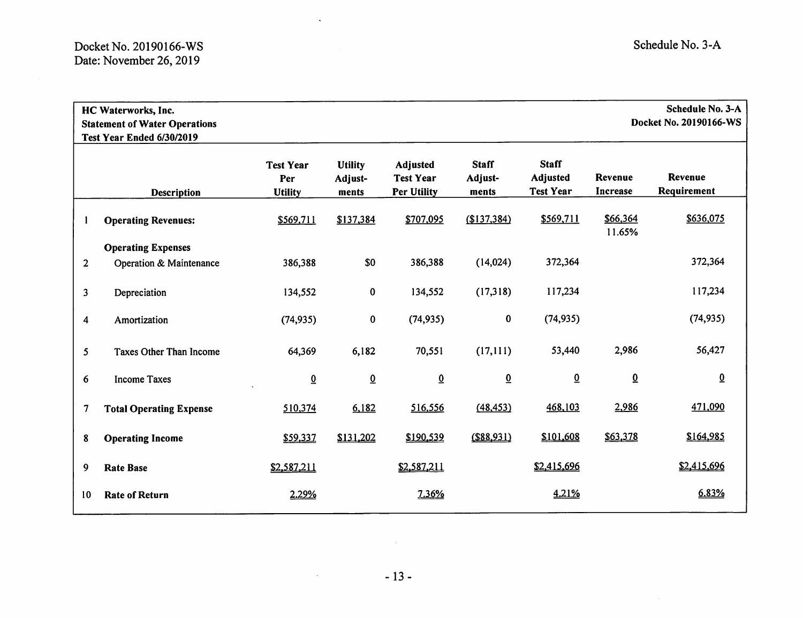|                          | Schedule No. 3-A<br>HC Waterworks, Inc.<br>Docket No. 20190166-WS<br><b>Statement of Water Operations</b><br>Test Year Ended 6/30/2019 |                                           |                                    |                                                           |                                  |                                              |                                   |                               |
|--------------------------|----------------------------------------------------------------------------------------------------------------------------------------|-------------------------------------------|------------------------------------|-----------------------------------------------------------|----------------------------------|----------------------------------------------|-----------------------------------|-------------------------------|
|                          | <b>Description</b>                                                                                                                     | <b>Test Year</b><br>Per<br><b>Utility</b> | <b>Utility</b><br>Adjust-<br>ments | <b>Adjusted</b><br><b>Test Year</b><br><b>Per Utility</b> | <b>Staff</b><br>Adjust-<br>ments | <b>Staff</b><br>Adjusted<br><b>Test Year</b> | <b>Revenue</b><br><b>Increase</b> | <b>Revenue</b><br>Requirement |
| 1                        | <b>Operating Revenues:</b>                                                                                                             | \$569,711                                 | \$137,384                          | \$707,095                                                 | \$137,384                        | \$569,711                                    | \$66,364<br>11.65%                | \$636,075                     |
| $\overline{2}$           | <b>Operating Expenses</b><br>Operation & Maintenance                                                                                   | 386,388                                   | \$0                                | 386,388                                                   | (14, 024)                        | 372,364                                      |                                   | 372,364                       |
| 3                        | Depreciation                                                                                                                           | 134,552                                   | 0                                  | 134,552                                                   | (17,318)                         | 117,234                                      |                                   | 117,234                       |
| 4                        | Amortization                                                                                                                           | (74, 935)                                 | $\bf{0}$                           | (74, 935)                                                 | $\pmb{0}$                        | (74, 935)                                    |                                   | (74, 935)                     |
| 5                        | Taxes Other Than Income                                                                                                                | 64,369                                    | 6,182                              | 70,551                                                    | (17, 111)                        | 53,440                                       | 2,986                             | 56,427                        |
| 6                        | <b>Income Taxes</b>                                                                                                                    | $\underline{0}$                           | $\overline{0}$                     | $\overline{0}$                                            | $\overline{0}$                   | $\overline{0}$                               | $\overline{0}$                    | $\overline{0}$                |
| $\overline{\mathcal{L}}$ | <b>Total Operating Expense</b>                                                                                                         | 510,374                                   | 6,182                              | 516,556                                                   | (48, 453)                        | 468,103                                      | 2,986                             | 471,090                       |
| 8                        | <b>Operating Income</b>                                                                                                                | \$59,337                                  | \$131,202                          | \$190,539                                                 | $($ \$88,931)                    | \$101,608                                    | \$63,378                          | \$164,985                     |
| 9                        | <b>Rate Base</b>                                                                                                                       | \$2,587,211                               |                                    | \$2,587,211                                               |                                  | \$2,415,696                                  |                                   | \$2,415,696                   |
| 10                       | <b>Rate of Return</b>                                                                                                                  | 2.29%                                     |                                    | 7.36%                                                     |                                  | 4.21%                                        |                                   | 6.83%                         |

 $\hat{\mathbf{v}}$ 

 $\mathcal{O}(\mathcal{A}^{\mathcal{A}})$  and  $\mathcal{O}(\mathcal{A}^{\mathcal{A}})$ 

 $\sim 0.1$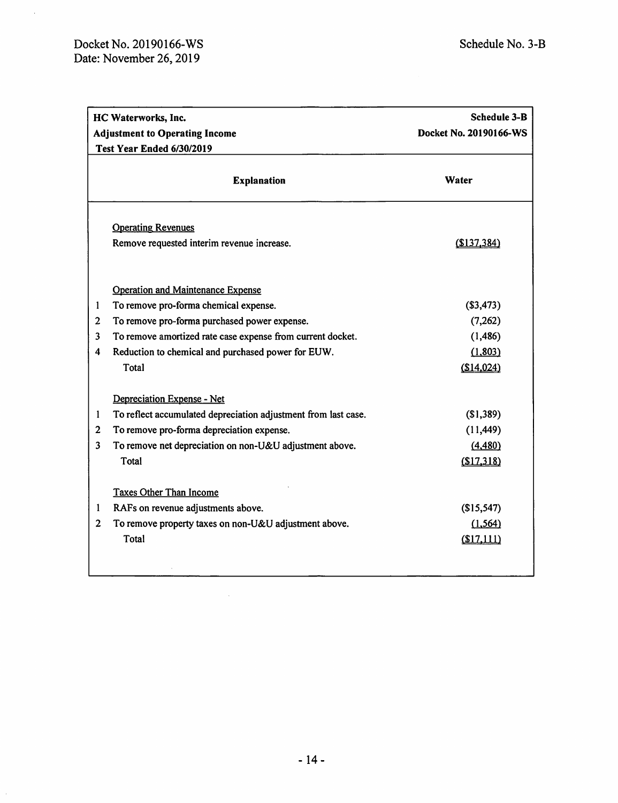$\hat{\mathcal{A}}$ 

|                | <b>Schedule 3-B</b><br>HC Waterworks, Inc.                     |                        |  |  |  |  |
|----------------|----------------------------------------------------------------|------------------------|--|--|--|--|
|                | <b>Adjustment to Operating Income</b>                          | Docket No. 20190166-WS |  |  |  |  |
|                | Test Year Ended 6/30/2019                                      |                        |  |  |  |  |
|                | <b>Explanation</b>                                             | Water                  |  |  |  |  |
|                | <b>Operating Revenues</b>                                      |                        |  |  |  |  |
|                | Remove requested interim revenue increase.                     | \$137,384              |  |  |  |  |
|                | <b>Operation and Maintenance Expense</b>                       |                        |  |  |  |  |
| 1              | To remove pro-forma chemical expense.                          | (\$3,473)              |  |  |  |  |
| $\overline{2}$ | To remove pro-forma purchased power expense.                   | (7, 262)               |  |  |  |  |
| 3              | To remove amortized rate case expense from current docket.     | (1, 486)               |  |  |  |  |
| 4              | Reduction to chemical and purchased power for EUW.             | (1, 803)               |  |  |  |  |
|                | Total                                                          | \$14,024               |  |  |  |  |
|                | Depreciation Expense - Net                                     |                        |  |  |  |  |
| 1              | To reflect accumulated depreciation adjustment from last case. | \$1,389                |  |  |  |  |
| 2              | To remove pro-forma depreciation expense.                      | (11, 449)              |  |  |  |  |
| 3              | To remove net depreciation on non-U&U adjustment above.        | (4,480)                |  |  |  |  |
|                | Total                                                          | (\$17,318)             |  |  |  |  |
|                | <b>Taxes Other Than Income</b>                                 |                        |  |  |  |  |
| 1              | RAFs on revenue adjustments above.                             | \$15,547               |  |  |  |  |
| $\mathbf{2}$   | To remove property taxes on non-U&U adjustment above.          | (1, 564)               |  |  |  |  |
|                | Total                                                          | (\$17,111)             |  |  |  |  |
|                |                                                                |                        |  |  |  |  |

 $\mathcal{A}^{\mathcal{A}}$